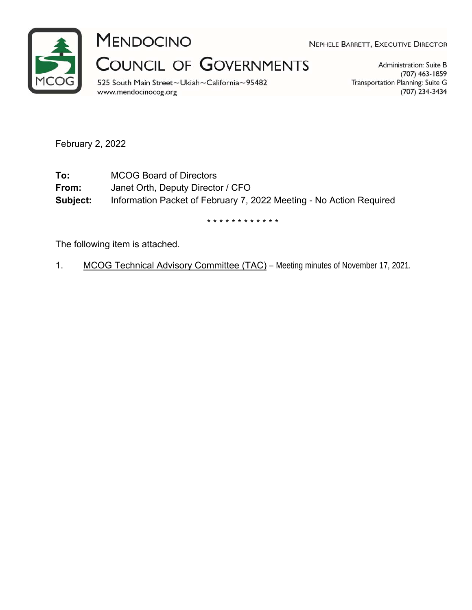

MENDOCINO

**COUNCIL OF GOVERNMENTS** 

525 South Main Street~Ukiah~California~95482 www.mendocinocog.org

NEPHELE BARRETT, EXECUTIVE DIRECTOR

Administration: Suite B  $(707)$  463-1859 Transportation Planning: Suite G (707) 234-3434

February 2, 2022

**To:** MCOG Board of Directors **From:** Janet Orth, Deputy Director / CFO **Subject:** Information Packet of February 7, 2022 Meeting - No Action Required

\* \* \* \* \* \* \* \* \* \* \* \*

The following item is attached.

1. MCOG Technical Advisory Committee (TAC) - Meeting minutes of November 17, 2021.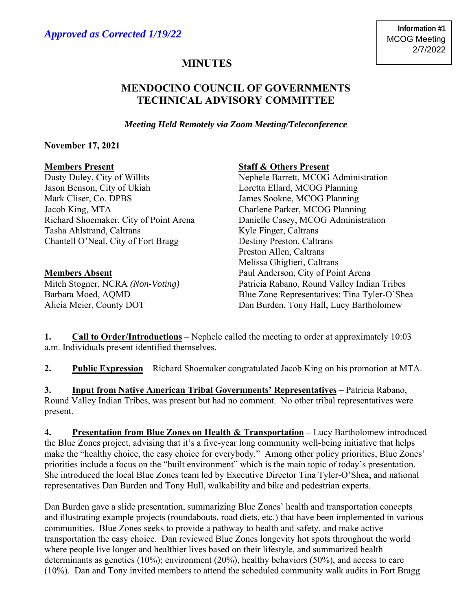# **MINUTES**

## **MENDOCINO COUNCIL OF GOVERNMENTS TECHNICAL ADVISORY COMMITTEE**

*Meeting Held Remotely via Zoom Meeting/Teleconference* 

### **November 17, 2021**

Jason Benson, City of Ukiah Loretta Ellard, MCOG Planning Mark Cliser, Co. DPBS James Sookne, MCOG Planning Jacob King, MTA Charlene Parker, MCOG Planning Richard Shoemaker, City of Point Arena Danielle Casey, MCOG Administration Tasha Ahlstrand, Caltrans Kyle Finger, Caltrans Chantell O'Neal, City of Fort Bragg Destiny Preston, Caltrans

### **Members Present Staff & Others Present**

Dusty Duley, City of Willits Nephele Barrett, MCOG Administration Preston Allen, Caltrans Melissa Ghiglieri, Caltrans **Members Absent** Paul Anderson, City of Point Arena Mitch Stogner, NCRA *(Non-Voting)* Patricia Rabano, Round Valley Indian Tribes Barbara Moed, AQMD Blue Zone Representatives: Tina Tyler-O'Shea Alicia Meier, County DOT Dan Burden, Tony Hall, Lucy Bartholomew

**1. Call to Order/Introductions** – Nephele called the meeting to order at approximately 10:03 a.m. Individuals present identified themselves.

**2. Public Expression** – Richard Shoemaker congratulated Jacob King on his promotion at MTA.

**3. Input from Native American Tribal Governments' Representatives** – Patricia Rabano, Round Valley Indian Tribes, was present but had no comment. No other tribal representatives were present.

**4. Presentation from Blue Zones on Health & Transportation –** Lucy Bartholomew introduced the Blue Zones project, advising that it's a five-year long community well-being initiative that helps make the "healthy choice, the easy choice for everybody." Among other policy priorities, Blue Zones' priorities include a focus on the "built environment" which is the main topic of today's presentation. She introduced the local Blue Zones team led by Executive Director Tina Tyler-O'Shea, and national representatives Dan Burden and Tony Hull, walkability and bike and pedestrian experts.

Dan Burden gave a slide presentation, summarizing Blue Zones' health and transportation concepts and illustrating example projects (roundabouts, road diets, etc.) that have been implemented in various communities. Blue Zones seeks to provide a pathway to health and safety, and make active transportation the easy choice. Dan reviewed Blue Zones longevity hot spots throughout the world where people live longer and healthier lives based on their lifestyle, and summarized health determinants as genetics (10%); environment (20%), healthy behaviors (50%), and access to care (10%). Dan and Tony invited members to attend the scheduled community walk audits in Fort Bragg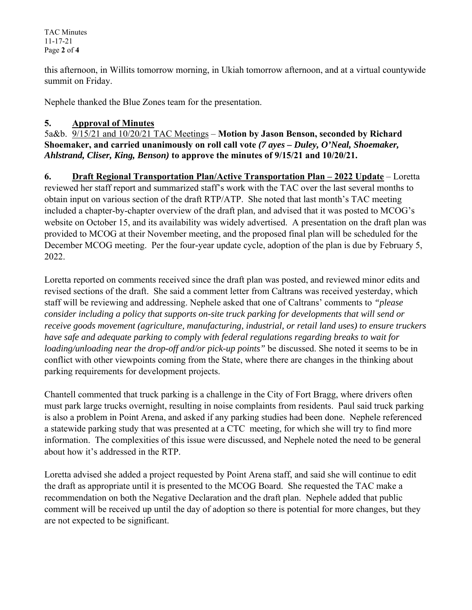TAC Minutes 11-17-21 Page **2** of **4**

this afternoon, in Willits tomorrow morning, in Ukiah tomorrow afternoon, and at a virtual countywide summit on Friday.

Nephele thanked the Blue Zones team for the presentation.

### **5. Approval of Minutes**

5a&b. 9/15/21 and 10/20/21 TAC Meetings – **Motion by Jason Benson, seconded by Richard Shoemaker, and carried unanimously on roll call vote** *(7 ayes – Duley, O'Neal, Shoemaker, Ahlstrand, Cliser, King, Benson)* **to approve the minutes of 9/15/21 and 10/20/21.** 

**6. Draft Regional Transportation Plan/Active Transportation Plan – 2022 Update** – Loretta reviewed her staff report and summarized staff's work with the TAC over the last several months to obtain input on various section of the draft RTP/ATP. She noted that last month's TAC meeting included a chapter-by-chapter overview of the draft plan, and advised that it was posted to MCOG's website on October 15, and its availability was widely advertised. A presentation on the draft plan was provided to MCOG at their November meeting, and the proposed final plan will be scheduled for the December MCOG meeting. Per the four-year update cycle, adoption of the plan is due by February 5, 2022.

Loretta reported on comments received since the draft plan was posted, and reviewed minor edits and revised sections of the draft. She said a comment letter from Caltrans was received yesterday, which staff will be reviewing and addressing. Nephele asked that one of Caltrans' comments to *"please consider including a policy that supports on-site truck parking for developments that will send or receive goods movement (agriculture, manufacturing, industrial, or retail land uses) to ensure truckers have safe and adequate parking to comply with federal regulations regarding breaks to wait for loading/unloading near the drop-off and/or pick-up points"* be discussed. She noted it seems to be in conflict with other viewpoints coming from the State, where there are changes in the thinking about parking requirements for development projects.

Chantell commented that truck parking is a challenge in the City of Fort Bragg, where drivers often must park large trucks overnight, resulting in noise complaints from residents. Paul said truck parking is also a problem in Point Arena, and asked if any parking studies had been done. Nephele referenced a statewide parking study that was presented at a CTC meeting, for which she will try to find more information. The complexities of this issue were discussed, and Nephele noted the need to be general about how it's addressed in the RTP.

Loretta advised she added a project requested by Point Arena staff, and said she will continue to edit the draft as appropriate until it is presented to the MCOG Board. She requested the TAC make a recommendation on both the Negative Declaration and the draft plan. Nephele added that public comment will be received up until the day of adoption so there is potential for more changes, but they are not expected to be significant.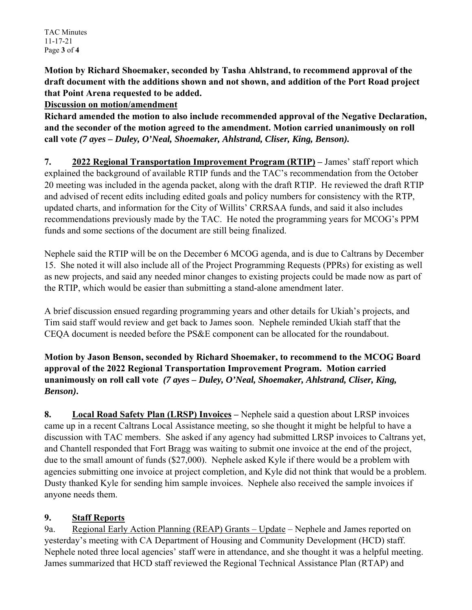**Motion by Richard Shoemaker, seconded by Tasha Ahlstrand, to recommend approval of the draft document with the additions shown and not shown, and addition of the Port Road project that Point Arena requested to be added.** 

**Discussion on motion/amendment** 

**Richard amended the motion to also include recommended approval of the Negative Declaration, and the seconder of the motion agreed to the amendment. Motion carried unanimously on roll call vote** *(7 ayes – Duley, O'Neal, Shoemaker, Ahlstrand, Cliser, King, Benson).*

**7. 2022 Regional Transportation Improvement Program (RTIP) –** James' staff report which explained the background of available RTIP funds and the TAC's recommendation from the October 20 meeting was included in the agenda packet, along with the draft RTIP. He reviewed the draft RTIP and advised of recent edits including edited goals and policy numbers for consistency with the RTP, updated charts, and information for the City of Willits' CRRSAA funds, and said it also includes recommendations previously made by the TAC. He noted the programming years for MCOG's PPM funds and some sections of the document are still being finalized.

Nephele said the RTIP will be on the December 6 MCOG agenda, and is due to Caltrans by December 15. She noted it will also include all of the Project Programming Requests (PPRs) for existing as well as new projects, and said any needed minor changes to existing projects could be made now as part of the RTIP, which would be easier than submitting a stand-alone amendment later.

A brief discussion ensued regarding programming years and other details for Ukiah's projects, and Tim said staff would review and get back to James soon. Nephele reminded Ukiah staff that the CEQA document is needed before the PS&E component can be allocated for the roundabout.

**Motion by Jason Benson, seconded by Richard Shoemaker, to recommend to the MCOG Board approval of the 2022 Regional Transportation Improvement Program. Motion carried unanimously on roll call vote** *(7 ayes – Duley, O'Neal, Shoemaker, Ahlstrand, Cliser, King, Benson)***.** 

**8. Local Road Safety Plan (LRSP) Invoices –** Nephele said a question about LRSP invoices came up in a recent Caltrans Local Assistance meeting, so she thought it might be helpful to have a discussion with TAC members. She asked if any agency had submitted LRSP invoices to Caltrans yet, and Chantell responded that Fort Bragg was waiting to submit one invoice at the end of the project, due to the small amount of funds (\$27,000). Nephele asked Kyle if there would be a problem with agencies submitting one invoice at project completion, and Kyle did not think that would be a problem. Dusty thanked Kyle for sending him sample invoices. Nephele also received the sample invoices if anyone needs them.

# **9. Staff Reports**

9a. Regional Early Action Planning (REAP) Grants – Update – Nephele and James reported on yesterday's meeting with CA Department of Housing and Community Development (HCD) staff. Nephele noted three local agencies' staff were in attendance, and she thought it was a helpful meeting. James summarized that HCD staff reviewed the Regional Technical Assistance Plan (RTAP) and